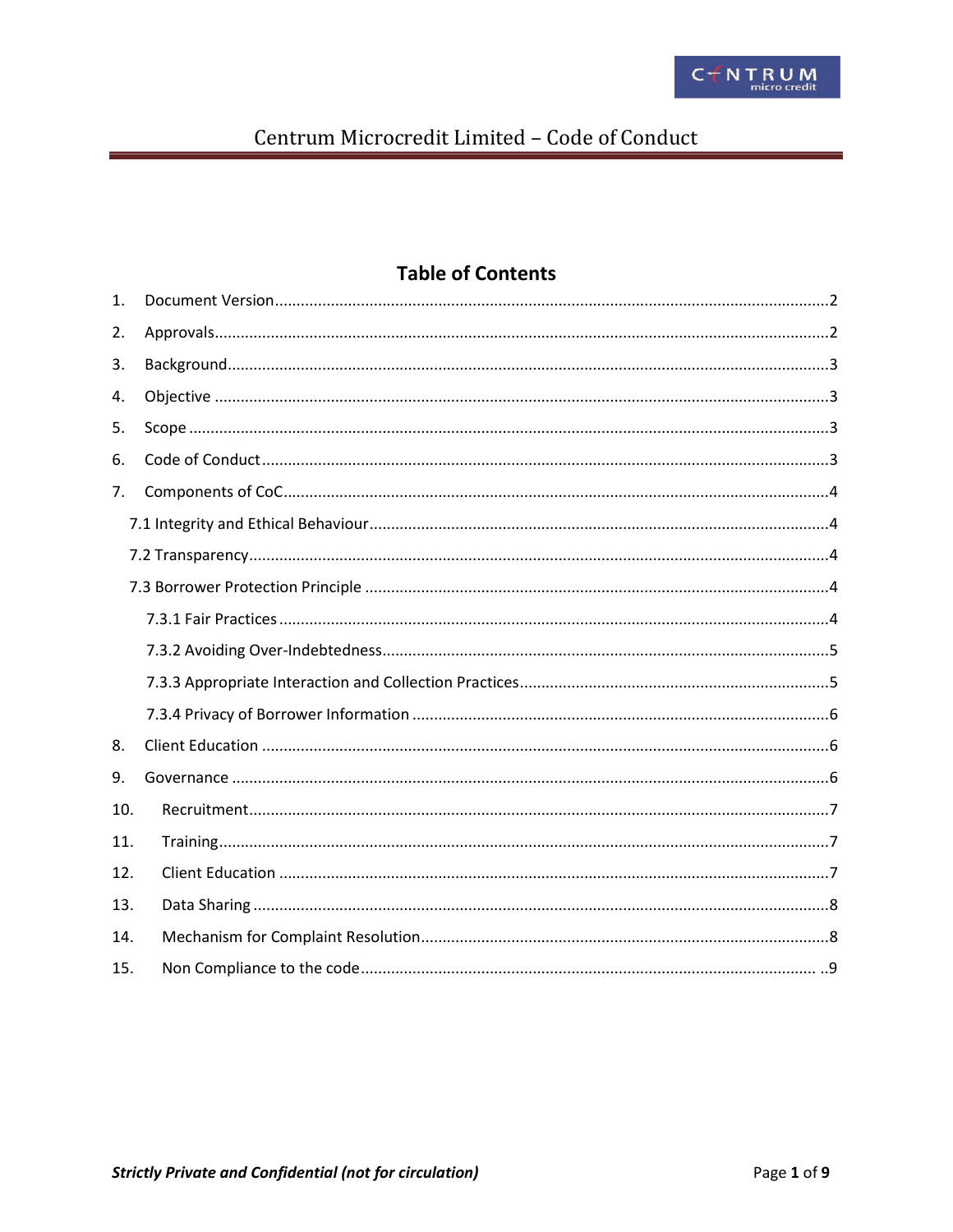# **Table of Contents**

| 1.  |  |
|-----|--|
| 2.  |  |
| 3.  |  |
| 4.  |  |
| 5.  |  |
| 6.  |  |
| 7.  |  |
|     |  |
|     |  |
|     |  |
|     |  |
|     |  |
|     |  |
|     |  |
| 8.  |  |
| 9.  |  |
| 10. |  |
| 11. |  |
| 12. |  |
| 13. |  |
| 14. |  |
| 15. |  |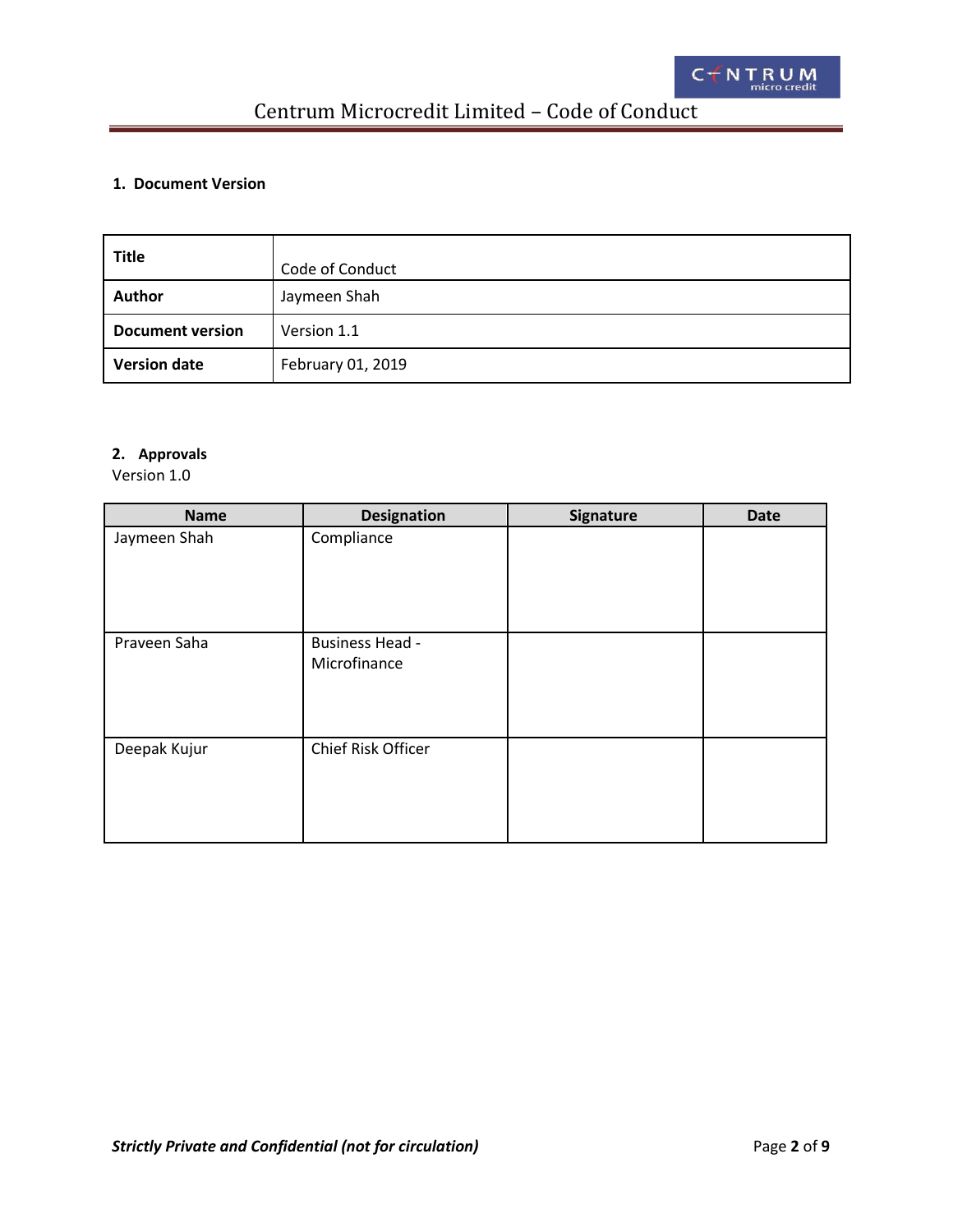### <span id="page-1-0"></span>**1. Document Version**

| <b>Title</b>            | Code of Conduct   |
|-------------------------|-------------------|
| <b>Author</b>           | Jaymeen Shah      |
| <b>Document version</b> | Version 1.1       |
| <b>Version date</b>     | February 01, 2019 |

### **2. Approvals**

Version 1.0

| <b>Name</b>  | <b>Designation</b>                     | Signature | <b>Date</b> |
|--------------|----------------------------------------|-----------|-------------|
| Jaymeen Shah | Compliance                             |           |             |
| Praveen Saha | <b>Business Head -</b><br>Microfinance |           |             |
| Deepak Kujur | Chief Risk Officer                     |           |             |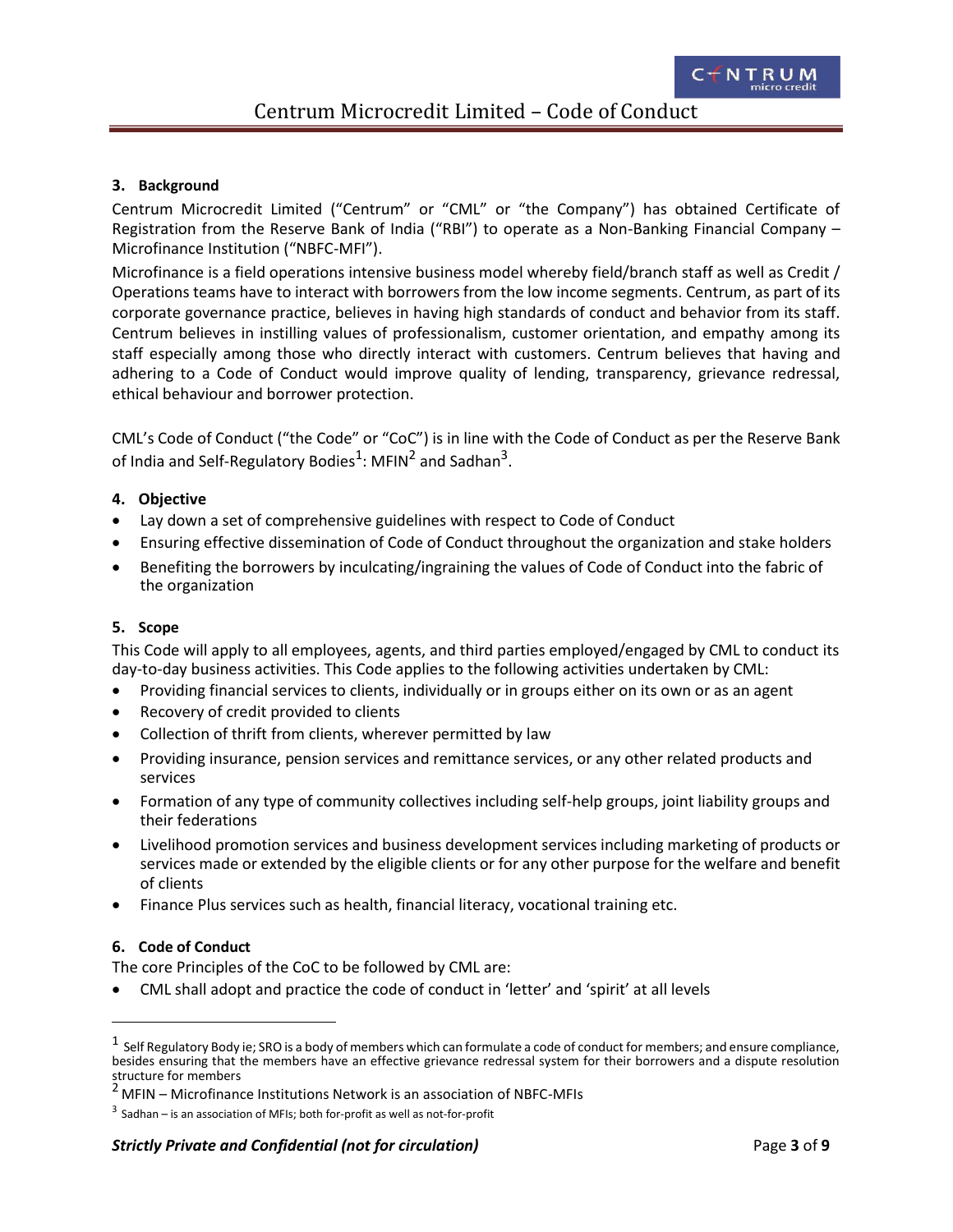### <span id="page-2-0"></span>**3. Background**

Centrum Microcredit Limited ("Centrum" or "CML" or "the Company") has obtained Certificate of Registration from the Reserve Bank of India ("RBI") to operate as a Non-Banking Financial Company – Microfinance Institution ("NBFC-MFI").

Microfinance is a field operations intensive business model whereby field/branch staff as well as Credit / Operations teams have to interact with borrowers from the low income segments. Centrum, as part of its corporate governance practice, believes in having high standards of conduct and behavior from its staff. Centrum believes in instilling values of professionalism, customer orientation, and empathy among its staff especially among those who directly interact with customers. Centrum believes that having and adhering to a Code of Conduct would improve quality of lending, transparency, grievance redressal, ethical behaviour and borrower protection.

CML's Code of Conduct ("the Code" or "CoC") is in line with the Code of Conduct as per the Reserve Bank of India and Self-Regulatory Bodies<sup>1</sup>: MFIN<sup>2</sup> and Sadhan<sup>3</sup>.

### **4. Objective**

- Lay down a set of comprehensive guidelines with respect to Code of Conduct
- Ensuring effective dissemination of Code of Conduct throughout the organization and stake holders
- Benefiting the borrowers by inculcating/ingraining the values of Code of Conduct into the fabric of the organization

### **5. Scope**

This Code will apply to all employees, agents, and third parties employed/engaged by CML to conduct its day-to-day business activities. This Code applies to the following activities undertaken by CML:

- Providing financial services to clients, individually or in groups either on its own or as an agent
- Recovery of credit provided to clients
- Collection of thrift from clients, wherever permitted by law
- Providing insurance, pension services and remittance services, or any other related products and services
- Formation of any type of community collectives including self-help groups, joint liability groups and their federations
- Livelihood promotion services and business development services including marketing of products or services made or extended by the eligible clients or for any other purpose for the welfare and benefit of clients
- Finance Plus services such as health, financial literacy, vocational training etc.

### **6. Code of Conduct**

The core Principles of the CoC to be followed by CML are:

CML shall adopt and practice the code of conduct in 'letter' and 'spirit' at all levels

 $^1\,$  Self Regulatory Body ie; SRO is a body of members which can formulate a code of conduct for members; and ensure compliance, besides ensuring that the members have an effective grievance redressal system for their borrowers and a dispute resolution structure for members

<sup>2</sup> MFIN – Microfinance Institutions Network is an association of NBFC-MFIs

 $3$  Sadhan – is an association of MFIs; both for-profit as well as not-for-profit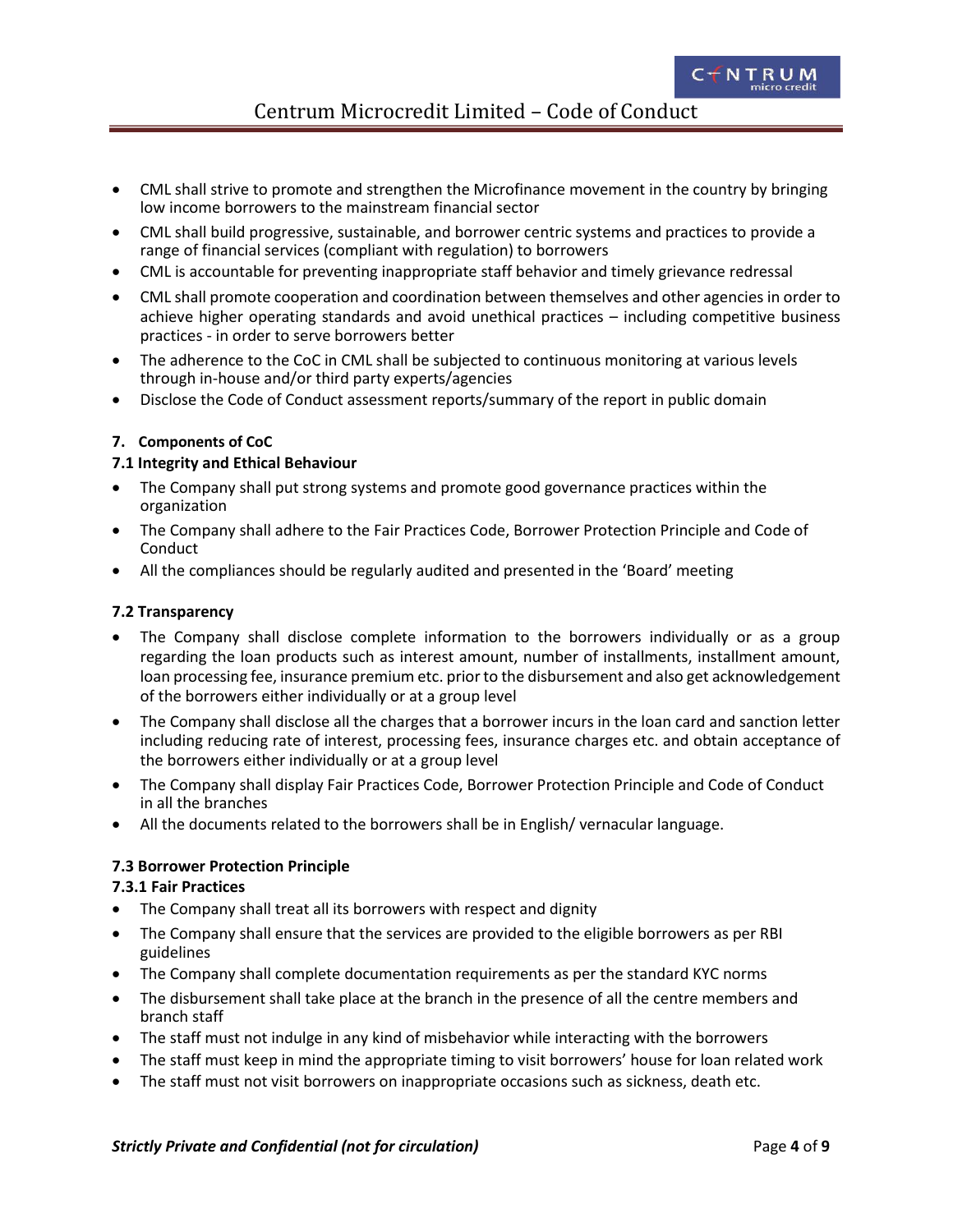- <span id="page-3-0"></span> CML shall strive to promote and strengthen the Microfinance movement in the country by bringing low income borrowers to the mainstream financial sector
- CML shall build progressive, sustainable, and borrower centric systems and practices to provide a range of financial services (compliant with regulation) to borrowers
- CML is accountable for preventing inappropriate staff behavior and timely grievance redressal
- CML shall promote cooperation and coordination between themselves and other agencies in order to achieve higher operating standards and avoid unethical practices – including competitive business practices - in order to serve borrowers better
- The adherence to the CoC in CML shall be subjected to continuous monitoring at various levels through in-house and/or third party experts/agencies
- Disclose the Code of Conduct assessment reports/summary of the report in public domain

### **7. Components of CoC**

### **7.1 Integrity and Ethical Behaviour**

- The Company shall put strong systems and promote good governance practices within the organization
- The Company shall adhere to the Fair Practices Code, Borrower Protection Principle and Code of Conduct
- All the compliances should be regularly audited and presented in the 'Board' meeting

### **7.2 Transparency**

- The Company shall disclose complete information to the borrowers individually or as a group regarding the loan products such as interest amount, number of installments, installment amount, loan processing fee, insurance premium etc. prior to the disbursement and also get acknowledgement of the borrowers either individually or at a group level
- The Company shall disclose all the charges that a borrower incurs in the loan card and sanction letter including reducing rate of interest, processing fees, insurance charges etc. and obtain acceptance of the borrowers either individually or at a group level
- The Company shall display Fair Practices Code, Borrower Protection Principle and Code of Conduct in all the branches
- All the documents related to the borrowers shall be in English/ vernacular language.

### **7.3 Borrower Protection Principle**

### **7.3.1 Fair Practices**

- The Company shall treat all its borrowers with respect and dignity
- The Company shall ensure that the services are provided to the eligible borrowers as per RBI guidelines
- The Company shall complete documentation requirements as per the standard KYC norms
- The disbursement shall take place at the branch in the presence of all the centre members and branch staff
- The staff must not indulge in any kind of misbehavior while interacting with the borrowers
- The staff must keep in mind the appropriate timing to visit borrowers' house for loan related work
- The staff must not visit borrowers on inappropriate occasions such as sickness, death etc.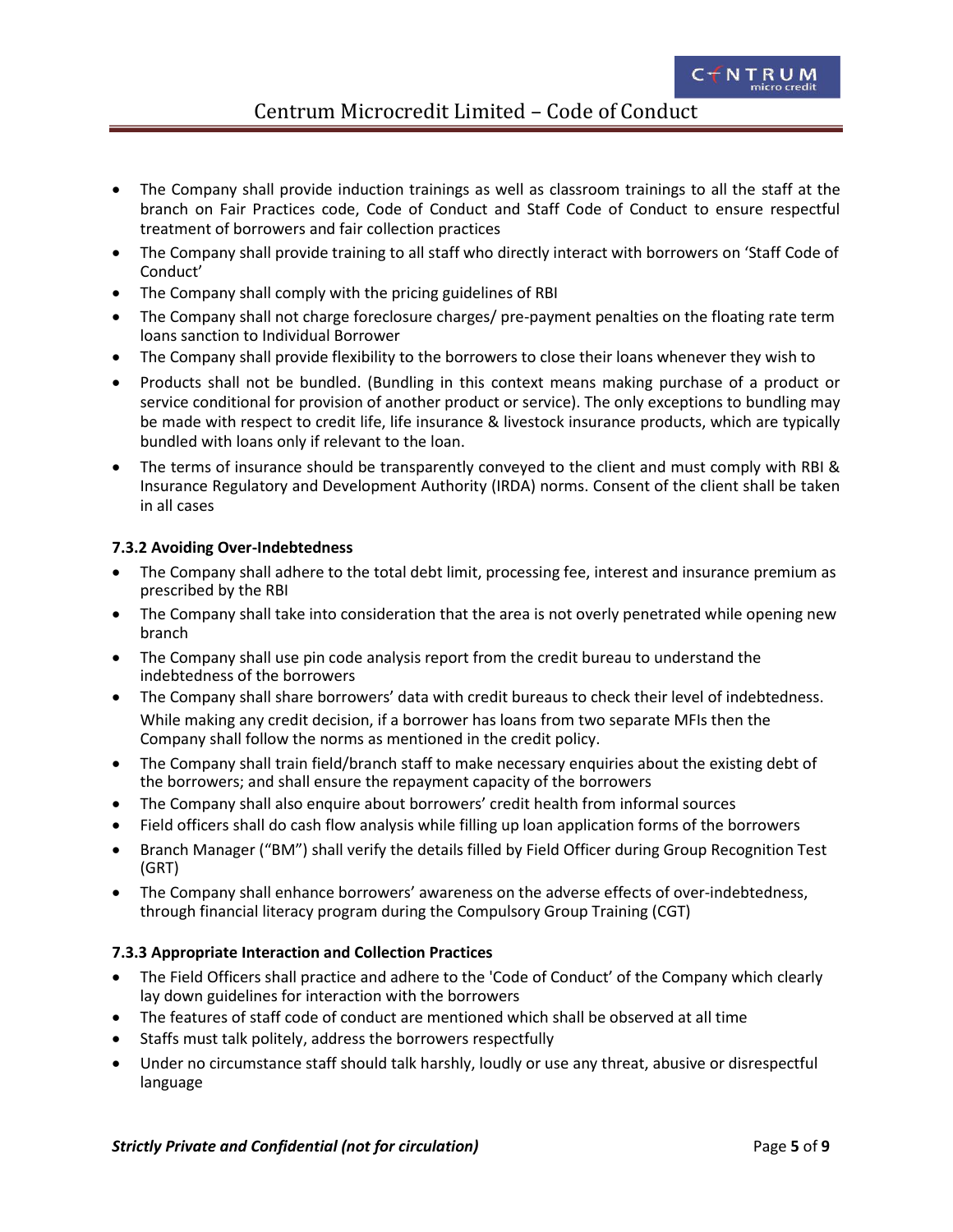- <span id="page-4-0"></span> The Company shall provide induction trainings as well as classroom trainings to all the staff at the branch on Fair Practices code, Code of Conduct and Staff Code of Conduct to ensure respectful treatment of borrowers and fair collection practices
- The Company shall provide training to all staff who directly interact with borrowers on 'Staff Code of Conduct'
- The Company shall comply with the pricing guidelines of RBI
- The Company shall not charge foreclosure charges/ pre-payment penalties on the floating rate term loans sanction to Individual Borrower
- The Company shall provide flexibility to the borrowers to close their loans whenever they wish to
- Products shall not be bundled. (Bundling in this context means making purchase of a product or service conditional for provision of another product or service). The only exceptions to bundling may be made with respect to credit life, life insurance & livestock insurance products, which are typically bundled with loans only if relevant to the loan.
- The terms of insurance should be transparently conveyed to the client and must comply with RBI & Insurance Regulatory and Development Authority (IRDA) norms. Consent of the client shall be taken in all cases

### **7.3.2 Avoiding Over-Indebtedness**

- The Company shall adhere to the total debt limit, processing fee, interest and insurance premium as prescribed by the RBI
- The Company shall take into consideration that the area is not overly penetrated while opening new branch
- The Company shall use pin code analysis report from the credit bureau to understand the indebtedness of the borrowers
- The Company shall share borrowers' data with credit bureaus to check their level of indebtedness. While making any credit decision, if a borrower has loans from two separate MFIs then the Company shall follow the norms as mentioned in the credit policy.
- The Company shall train field/branch staff to make necessary enquiries about the existing debt of the borrowers; and shall ensure the repayment capacity of the borrowers
- The Company shall also enquire about borrowers' credit health from informal sources
- Field officers shall do cash flow analysis while filling up loan application forms of the borrowers
- Branch Manager ("BM") shall verify the details filled by Field Officer during Group Recognition Test (GRT)
- The Company shall enhance borrowers' awareness on the adverse effects of over-indebtedness, through financial literacy program during the Compulsory Group Training (CGT)

### **7.3.3 Appropriate Interaction and Collection Practices**

- The Field Officers shall practice and adhere to the 'Code of Conduct' of the Company which clearly lay down guidelines for interaction with the borrowers
- The features of staff code of conduct are mentioned which shall be observed at all time
- Staffs must talk politely, address the borrowers respectfully
- Under no circumstance staff should talk harshly, loudly or use any threat, abusive or disrespectful language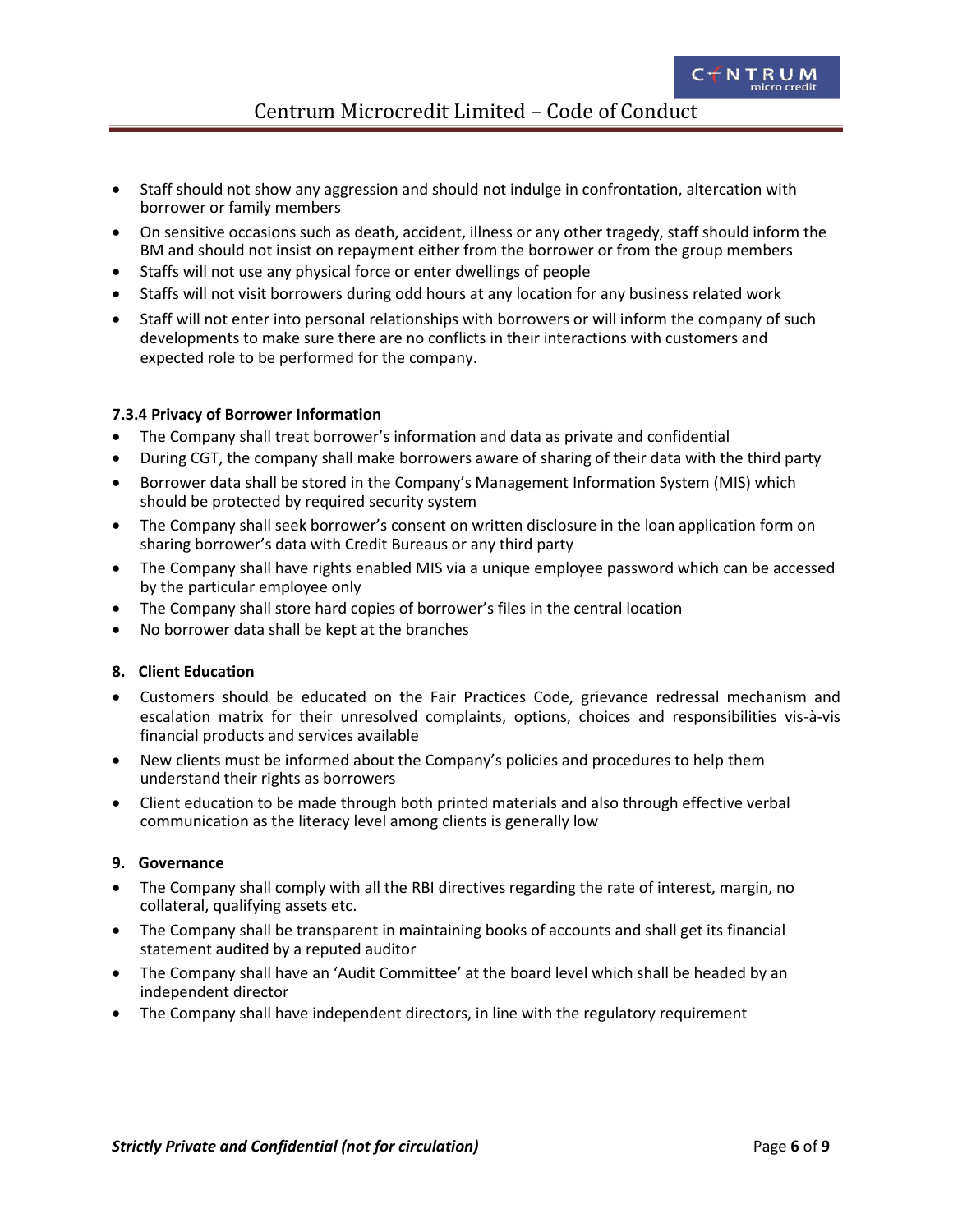- <span id="page-5-0"></span> Staff should not show any aggression and should not indulge in confrontation, altercation with borrower or family members
- On sensitive occasions such as death, accident, illness or any other tragedy, staff should inform the BM and should not insist on repayment either from the borrower or from the group members
- Staffs will not use any physical force or enter dwellings of people
- Staffs will not visit borrowers during odd hours at any location for any business related work
- Staff will not enter into personal relationships with borrowers or will inform the company of such developments to make sure there are no conflicts in their interactions with customers and expected role to be performed for the company.

### **7.3.4 Privacy of Borrower Information**

- The Company shall treat borrower's information and data as private and confidential
- During CGT, the company shall make borrowers aware of sharing of their data with the third party
- Borrower data shall be stored in the Company's Management Information System (MIS) which should be protected by required security system
- The Company shall seek borrower's consent on written disclosure in the loan application form on sharing borrower's data with Credit Bureaus or any third party
- The Company shall have rights enabled MIS via a unique employee password which can be accessed by the particular employee only
- The Company shall store hard copies of borrower's files in the central location
- No borrower data shall be kept at the branches

### **8. Client Education**

- Customers should be educated on the Fair Practices Code, grievance redressal mechanism and escalation matrix for their unresolved complaints, options, choices and responsibilities vis-à-vis financial products and services available
- New clients must be informed about the Company's policies and procedures to help them understand their rights as borrowers
- Client education to be made through both printed materials and also through effective verbal communication as the literacy level among clients is generally low

### **9. Governance**

- The Company shall comply with all the RBI directives regarding the rate of interest, margin, no collateral, qualifying assets etc.
- The Company shall be transparent in maintaining books of accounts and shall get its financial statement audited by a reputed auditor
- The Company shall have an 'Audit Committee' at the board level which shall be headed by an independent director
- The Company shall have independent directors, in line with the regulatory requirement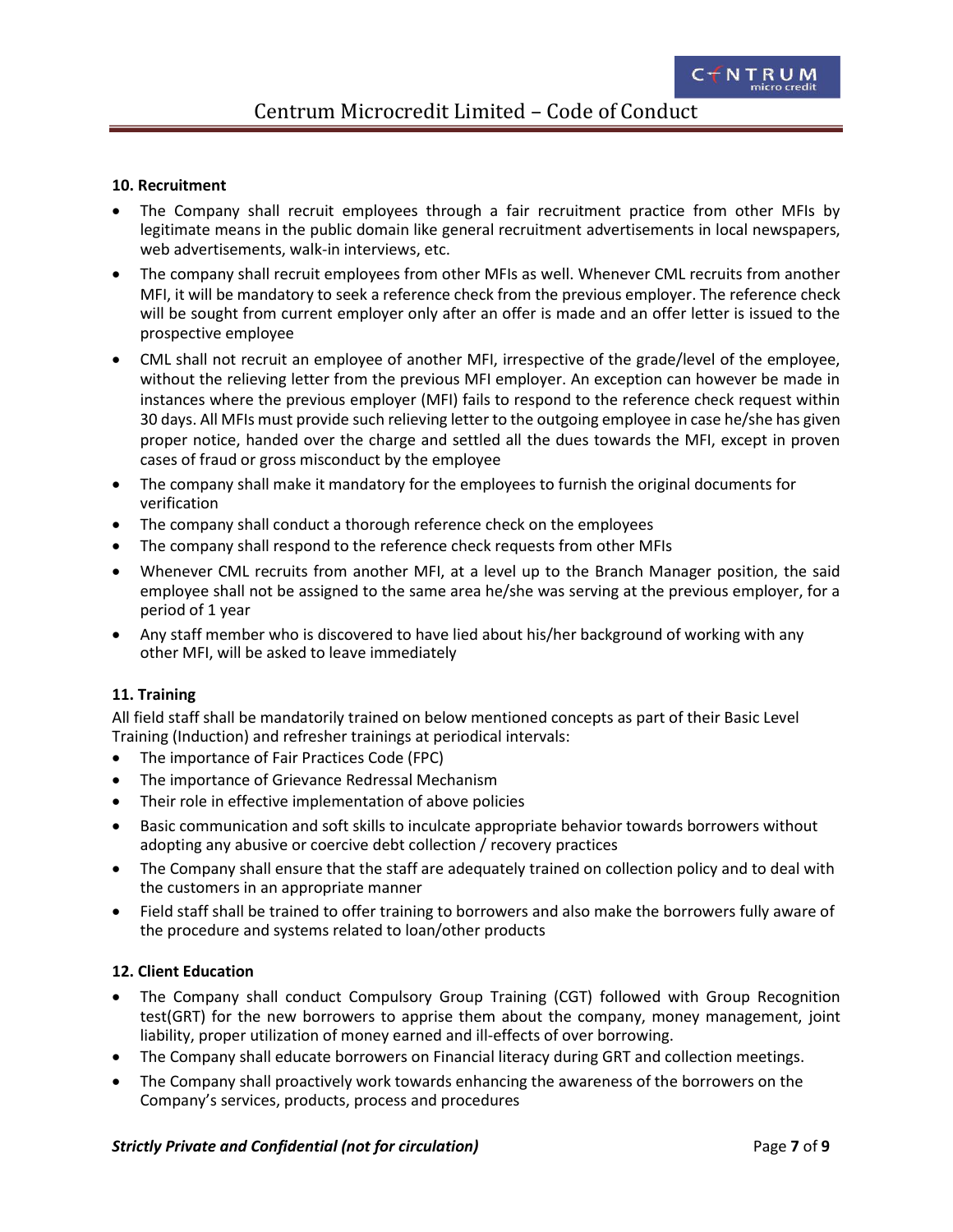### <span id="page-6-0"></span>**10. Recruitment**

- The Company shall recruit employees through a fair recruitment practice from other MFIs by legitimate means in the public domain like general recruitment advertisements in local newspapers, web advertisements, walk-in interviews, etc.
- The company shall recruit employees from other MFIs as well. Whenever CML recruits from another MFI, it will be mandatory to seek a reference check from the previous employer. The reference check will be sought from current employer only after an offer is made and an offer letter is issued to the prospective employee
- CML shall not recruit an employee of another MFI, irrespective of the grade/level of the employee, without the relieving letter from the previous MFI employer. An exception can however be made in instances where the previous employer (MFI) fails to respond to the reference check request within 30 days. All MFIs must provide such relieving letter to the outgoing employee in case he/she has given proper notice, handed over the charge and settled all the dues towards the MFI, except in proven cases of fraud or gross misconduct by the employee
- The company shall make it mandatory for the employees to furnish the original documents for verification
- The company shall conduct a thorough reference check on the employees
- The company shall respond to the reference check requests from other MFIs
- Whenever CML recruits from another MFI, at a level up to the Branch Manager position, the said employee shall not be assigned to the same area he/she was serving at the previous employer, for a period of 1 year
- Any staff member who is discovered to have lied about his/her background of working with any other MFI, will be asked to leave immediately

### **11. Training**

All field staff shall be mandatorily trained on below mentioned concepts as part of their Basic Level Training (Induction) and refresher trainings at periodical intervals:

- The importance of Fair Practices Code (FPC)
- The importance of Grievance Redressal Mechanism
- Their role in effective implementation of above policies
- Basic communication and soft skills to inculcate appropriate behavior towards borrowers without adopting any abusive or coercive debt collection / recovery practices
- The Company shall ensure that the staff are adequately trained on collection policy and to deal with the customers in an appropriate manner
- Field staff shall be trained to offer training to borrowers and also make the borrowers fully aware of the procedure and systems related to loan/other products

### **12. Client Education**

- The Company shall conduct Compulsory Group Training (CGT) followed with Group Recognition test(GRT) for the new borrowers to apprise them about the company, money management, joint liability, proper utilization of money earned and ill-effects of over borrowing.
- The Company shall educate borrowers on Financial literacy during GRT and collection meetings.
- The Company shall proactively work towards enhancing the awareness of the borrowers on the Company's services, products, process and procedures

### **Strictly Private and Confidential (not for circulation)** Page 7 of 9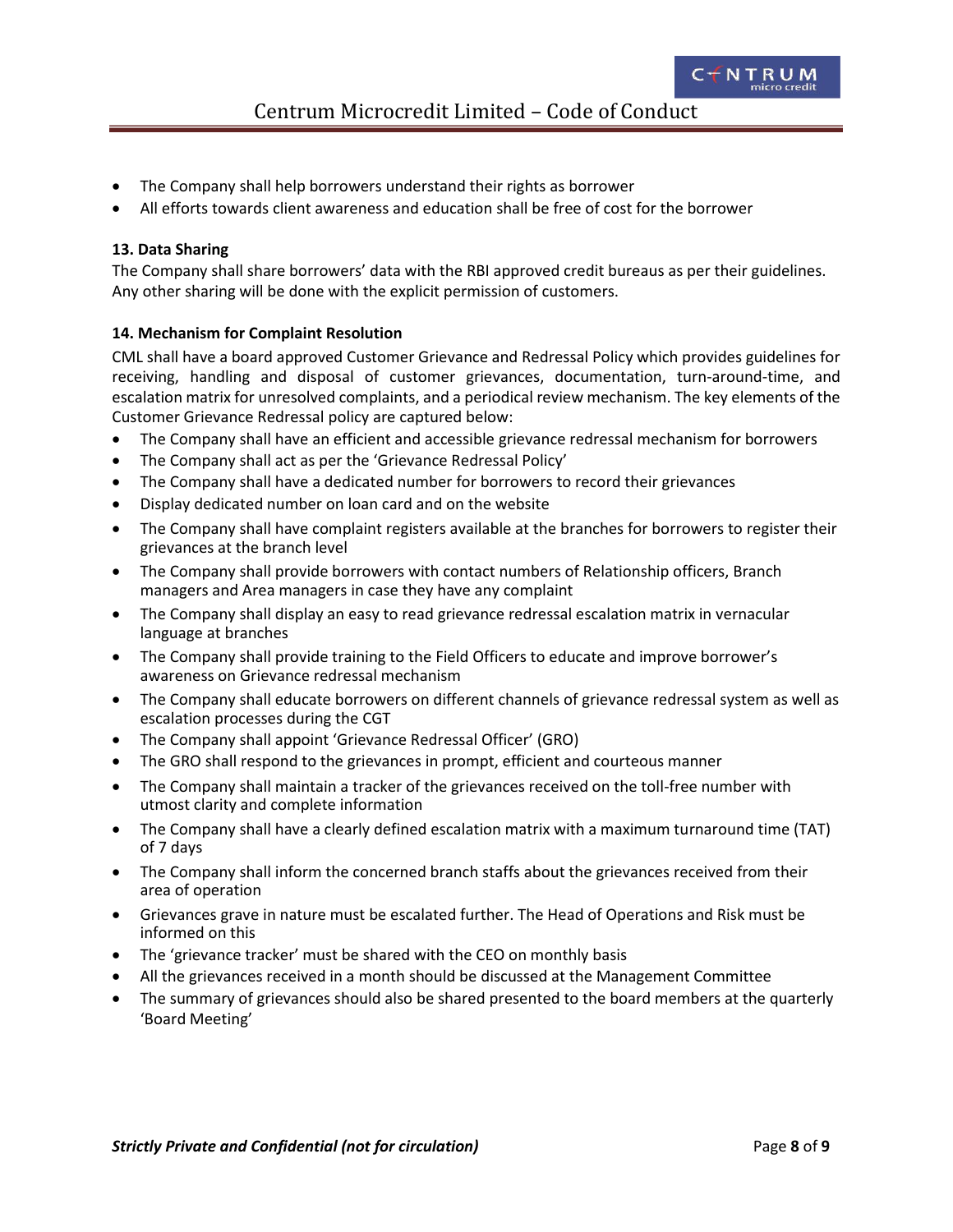- <span id="page-7-0"></span>The Company shall help borrowers understand their rights as borrower
- All efforts towards client awareness and education shall be free of cost for the borrower

### **13. Data Sharing**

The Company shall share borrowers' data with the RBI approved credit bureaus as per their guidelines. Any other sharing will be done with the explicit permission of customers.

### **14. Mechanism for Complaint Resolution**

CML shall have a board approved Customer Grievance and Redressal Policy which provides guidelines for receiving, handling and disposal of customer grievances, documentation, turn-around-time, and escalation matrix for unresolved complaints, and a periodical review mechanism. The key elements of the Customer Grievance Redressal policy are captured below:

- The Company shall have an efficient and accessible grievance redressal mechanism for borrowers
- The Company shall act as per the 'Grievance Redressal Policy'
- The Company shall have a dedicated number for borrowers to record their grievances
- Display dedicated number on loan card and on the website
- The Company shall have complaint registers available at the branches for borrowers to register their grievances at the branch level
- The Company shall provide borrowers with contact numbers of Relationship officers, Branch managers and Area managers in case they have any complaint
- The Company shall display an easy to read grievance redressal escalation matrix in vernacular language at branches
- The Company shall provide training to the Field Officers to educate and improve borrower's awareness on Grievance redressal mechanism
- The Company shall educate borrowers on different channels of grievance redressal system as well as escalation processes during the CGT
- The Company shall appoint 'Grievance Redressal Officer' (GRO)
- The GRO shall respond to the grievances in prompt, efficient and courteous manner
- The Company shall maintain a tracker of the grievances received on the toll-free number with utmost clarity and complete information
- The Company shall have a clearly defined escalation matrix with a maximum turnaround time (TAT) of 7 days
- The Company shall inform the concerned branch staffs about the grievances received from their area of operation
- Grievances grave in nature must be escalated further. The Head of Operations and Risk must be informed on this
- The 'grievance tracker' must be shared with the CEO on monthly basis
- All the grievances received in a month should be discussed at the Management Committee
- The summary of grievances should also be shared presented to the board members at the quarterly 'Board Meeting'